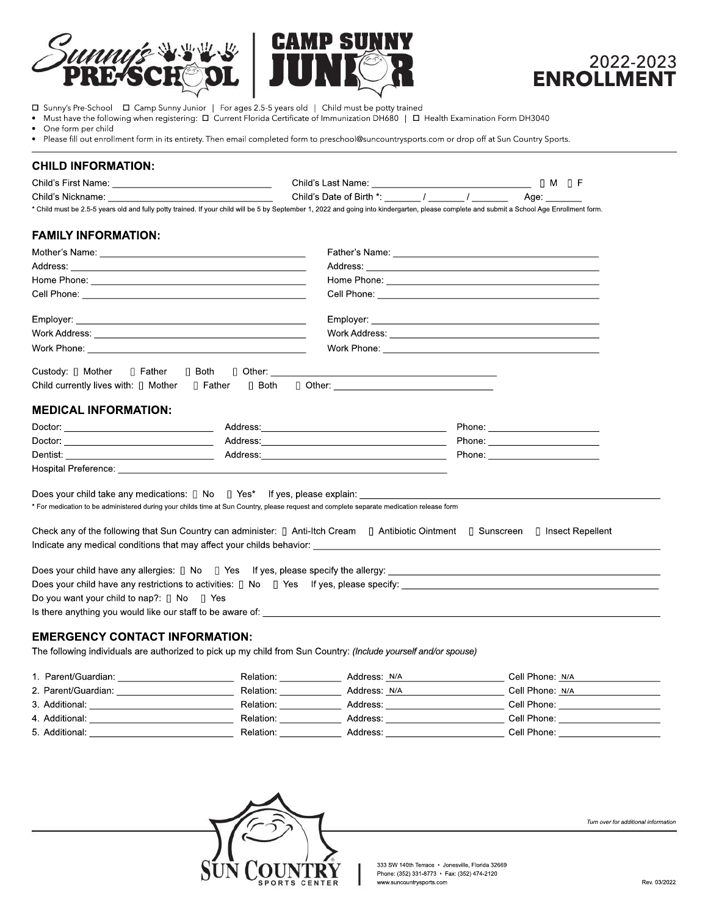



 $\Box$  Sunny's Pre-School  $\Box$  Camp Sunny Junior | For ages 2.5-5 years old | Child must be potty trained

• Must have the following when registering: D Current Florida Certificate of Immunization DH680 | D Health Examination Form DH3040

One form per child

• Please fill out enrollment form in its entirety. Then email completed form to preschool@suncountrysports.com or drop off at Sun Country Sports.

### **CHILDINFORMATION:**

| Child's First Name: Name: Name and South Allen And South Allen Allen And Allen Allen And Allen And Allen Allen                                                                                                                                                                                                                                                            | Child's Last Name: Name: Name and South Allen and South Allen and Allen and Allen and Allen and Allen and Allen<br>Child's Date of Birth *: ______/ ______/ |  | $\Box$ M $\Box$ F                                                                                                                                                                                                              |  |
|---------------------------------------------------------------------------------------------------------------------------------------------------------------------------------------------------------------------------------------------------------------------------------------------------------------------------------------------------------------------------|-------------------------------------------------------------------------------------------------------------------------------------------------------------|--|--------------------------------------------------------------------------------------------------------------------------------------------------------------------------------------------------------------------------------|--|
|                                                                                                                                                                                                                                                                                                                                                                           |                                                                                                                                                             |  | Age: the state of the state of the state of the state of the state of the state of the state of the state of the state of the state of the state of the state of the state of the state of the state of the state of the state |  |
| * Child must be 2.5-5 years old and fully potty trained. If your child will be 5 by September 1, 2022 and going into kindergarten, please complete and submit a School Age Enrollment form.                                                                                                                                                                               |                                                                                                                                                             |  |                                                                                                                                                                                                                                |  |
| <b>FAMILY INFORMATION:</b>                                                                                                                                                                                                                                                                                                                                                |                                                                                                                                                             |  |                                                                                                                                                                                                                                |  |
|                                                                                                                                                                                                                                                                                                                                                                           |                                                                                                                                                             |  |                                                                                                                                                                                                                                |  |
|                                                                                                                                                                                                                                                                                                                                                                           |                                                                                                                                                             |  |                                                                                                                                                                                                                                |  |
|                                                                                                                                                                                                                                                                                                                                                                           |                                                                                                                                                             |  |                                                                                                                                                                                                                                |  |
|                                                                                                                                                                                                                                                                                                                                                                           |                                                                                                                                                             |  |                                                                                                                                                                                                                                |  |
|                                                                                                                                                                                                                                                                                                                                                                           |                                                                                                                                                             |  |                                                                                                                                                                                                                                |  |
|                                                                                                                                                                                                                                                                                                                                                                           |                                                                                                                                                             |  |                                                                                                                                                                                                                                |  |
|                                                                                                                                                                                                                                                                                                                                                                           |                                                                                                                                                             |  |                                                                                                                                                                                                                                |  |
| <b>MEDICAL INFORMATION:</b><br>Dactor:                                                                                                                                                                                                                                                                                                                                    |                                                                                                                                                             |  | Phone: ___________________________<br>Phone: _________________________                                                                                                                                                         |  |
| Does your child take any medications: $\Box$ No $\Box$ Yes* If yes, please explain:<br>* For medication to be administered during your childs time at Sun Country, please request and complete separate medication release form<br>Check any of the following that Sun Country can administer: [] Anti-Itch Cream [] Antibiotic Ointment [] Sunscreen [] Insect Repellent |                                                                                                                                                             |  |                                                                                                                                                                                                                                |  |
| Do you want your child to nap?: $\Box$ No $\Box$ Yes<br>Is there anything you would like our staff to be aware of: state of the state of the state of the state of the state of the state of the state of the state of the state of the state of the state of the state of the state o                                                                                    |                                                                                                                                                             |  |                                                                                                                                                                                                                                |  |

## **EMERGENCY CONTACT INFORMATION:**

The following individuals are authorized to pick up my child from Sun Country: (Include yourself and/or spouse)

| 1. Parent/Guardian: | Relation: | Address: N/A | Cell Phone: N/A |
|---------------------|-----------|--------------|-----------------|
| 2. Parent/Guardian: | Relation: | Address: N/A | Cell Phone: N/A |
| 3. Additional:      | Relation: | Address:     | Cell Phone:     |
| 4. Additional:      | Relation: | Address:     | Cell Phone:     |
| 5. Additional:      | Relation: | Address:     | Cell Phone:     |



*Turnoverforadditionalinformation*

333 SW 140th Terrace • Jonesville, Florida 32669 Phone: (352) 331-8773 • Fax: (352) 474-2120 www.suncountrysports.com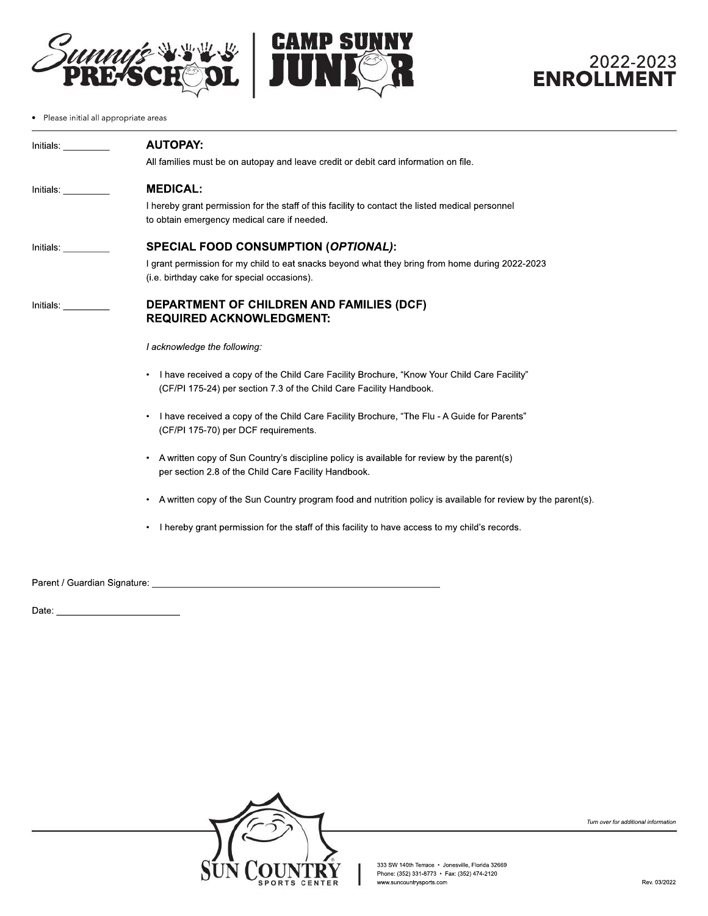



# 2022-2023 **ENROLLMENT**

• Please initial all appropriate areas

| Initials. In the set of the set of the set of the set of the set of the set of the set of the set o | <b>AUTOPAY:</b>                                                                                                                                                    |
|-----------------------------------------------------------------------------------------------------|--------------------------------------------------------------------------------------------------------------------------------------------------------------------|
|                                                                                                     | All families must be on autopay and leave credit or debit card information on file.                                                                                |
| Initials: <b>Alice Structure</b>                                                                    | <b>MEDICAL:</b>                                                                                                                                                    |
|                                                                                                     | I hereby grant permission for the staff of this facility to contact the listed medical personnel<br>to obtain emergency medical care if needed.                    |
| Initials: <b>Alice and Stru</b>                                                                     | <b>SPECIAL FOOD CONSUMPTION (OPTIONAL):</b>                                                                                                                        |
|                                                                                                     | I grant permission for my child to eat snacks beyond what they bring from home during 2022-2023<br>(i.e. birthday cake for special occasions).                     |
| Initials: _________                                                                                 | <b>DEPARTMENT OF CHILDREN AND FAMILIES (DCF)</b><br><b>REQUIRED ACKNOWLEDGMENT:</b>                                                                                |
|                                                                                                     | I acknowledge the following:                                                                                                                                       |
|                                                                                                     | I have received a copy of the Child Care Facility Brochure, "Know Your Child Care Facility"<br>(CF/PI 175-24) per section 7.3 of the Child Care Facility Handbook. |
|                                                                                                     | I have received a copy of the Child Care Facility Brochure, "The Flu - A Guide for Parents"<br>(CF/PI 175-70) per DCF requirements.                                |
|                                                                                                     | A written copy of Sun Country's discipline policy is available for review by the parent(s)<br>per section 2.8 of the Child Care Facility Handbook.                 |
|                                                                                                     | A written copy of the Sun Country program food and nutrition policy is available for review by the parent(s).                                                      |
|                                                                                                     | I hereby grant permission for the staff of this facility to have access to my child's records.                                                                     |
|                                                                                                     |                                                                                                                                                                    |
|                                                                                                     |                                                                                                                                                                    |

Date:



333 SW 140th Terrace • Jonesville, Florida 32669<br>Phone: (352) 331-8773 • Fax: (352) 474-2120 www.suncountrysports.com

*Turnoverforadditionalinformation*